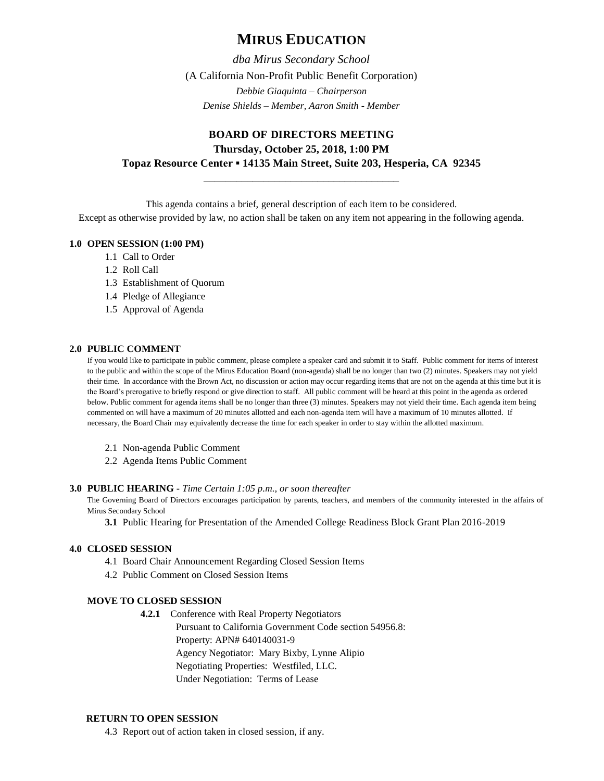# **MIRUS EDUCATION**

*dba Mirus Secondary School* (A California Non-Profit Public Benefit Corporation) *Debbie Giaquinta – Chairperson Denise Shields – Member, Aaron Smith - Member*

# **BOARD OF DIRECTORS MEETING Thursday, October 25, 2018, 1:00 PM Topaz Resource Center ▪ 14135 Main Street, Suite 203, Hesperia, CA 92345**

\_\_\_\_\_\_\_\_\_\_\_\_\_\_\_\_\_\_\_\_\_\_\_\_\_\_\_\_\_\_\_\_\_\_\_\_

This agenda contains a brief, general description of each item to be considered.

Except as otherwise provided by law, no action shall be taken on any item not appearing in the following agenda.

## **1.0 OPEN SESSION (1:00 PM)**

- 1.1 Call to Order
- 1.2 Roll Call
- 1.3 Establishment of Quorum
- 1.4 Pledge of Allegiance
- 1.5 Approval of Agenda

## **2.0 PUBLIC COMMENT**

If you would like to participate in public comment, please complete a speaker card and submit it to Staff. Public comment for items of interest to the public and within the scope of the Mirus Education Board (non-agenda) shall be no longer than two (2) minutes. Speakers may not yield their time. In accordance with the Brown Act, no discussion or action may occur regarding items that are not on the agenda at this time but it is the Board's prerogative to briefly respond or give direction to staff. All public comment will be heard at this point in the agenda as ordered below. Public comment for agenda items shall be no longer than three (3) minutes. Speakers may not yield their time. Each agenda item being commented on will have a maximum of 20 minutes allotted and each non-agenda item will have a maximum of 10 minutes allotted. If necessary, the Board Chair may equivalently decrease the time for each speaker in order to stay within the allotted maximum.

- 2.1 Non-agenda Public Comment
- 2.2 Agenda Items Public Comment

#### **3.0 PUBLIC HEARING -** *Time Certain 1:05 p.m., or soon thereafter*

The Governing Board of Directors encourages participation by parents, teachers, and members of the community interested in the affairs of Mirus Secondary School

**3.1** Public Hearing for Presentation of the Amended College Readiness Block Grant Plan 2016-2019

## **4.0 CLOSED SESSION**

- 4.1 Board Chair Announcement Regarding Closed Session Items
- 4.2 Public Comment on Closed Session Items

## **MOVE TO CLOSED SESSION**

**4.2.1** Conference with Real Property Negotiators Pursuant to California Government Code section 54956.8: Property: APN# 640140031-9 Agency Negotiator: Mary Bixby, Lynne Alipio Negotiating Properties: Westfiled, LLC. Under Negotiation: Terms of Lease

## **RETURN TO OPEN SESSION**

4.3 Report out of action taken in closed session, if any.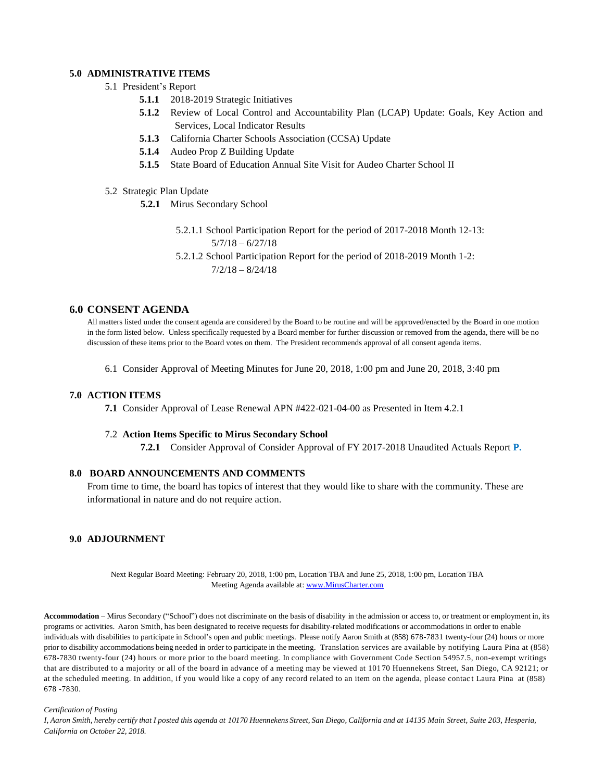# **5.0 ADMINISTRATIVE ITEMS**

- 5.1 President's Report
	- **5.1.1** 2018-2019 Strategic Initiatives
	- **5.1.2** Review of Local Control and Accountability Plan (LCAP) Update: Goals, Key Action and Services, Local Indicator Results
	- **5.1.3** California Charter Schools Association (CCSA) Update
	- **5.1.4** Audeo Prop Z Building Update
	- **5.1.5** State Board of Education Annual Site Visit for Audeo Charter School II
- 5.2 Strategic Plan Update
	- **5.2.1** Mirus Secondary School
		- 5.2.1.1 School Participation Report for the period of 2017-2018 Month 12-13: 5/7/18 – 6/27/18

5.2.1.2 School Participation Report for the period of 2018-2019 Month 1-2:  $7/2/18 - 8/24/18$ 

## **6.0 CONSENT AGENDA**

All matters listed under the consent agenda are considered by the Board to be routine and will be approved/enacted by the Board in one motion in the form listed below. Unless specifically requested by a Board member for further discussion or removed from the agenda, there will be no discussion of these items prior to the Board votes on them. The President recommends approval of all consent agenda items.

6.1 Consider Approval of Meeting Minutes for June 20, 2018, 1:00 pm and June 20, 2018, 3:40 pm

#### **7.0 ACTION ITEMS**

**7.1** Consider Approval of Lease Renewal APN #422-021-04-00 as Presented in Item 4.2.1

#### 7.2 **Action Items Specific to Mirus Secondary School**

**7.2.1** Consider Approval of Consider Approval of FY 2017-2018 Unaudited Actuals Report **P.**

#### **8.0 BOARD ANNOUNCEMENTS AND COMMENTS**

From time to time, the board has topics of interest that they would like to share with the community. These are informational in nature and do not require action.

#### **9.0 ADJOURNMENT**

Next Regular Board Meeting: February 20, 2018, 1:00 pm, Location TBA and June 25, 2018, 1:00 pm, Location TBA Meeting Agenda available at[: www.MirusCharter.com](http://www.miruscharter.com/)

**Accommodation** – Mirus Secondary ("School") does not discriminate on the basis of disability in the admission or access to, or treatment or employment in, its programs or activities. Aaron Smith, has been designated to receive requests for disability-related modifications or accommodations in order to enable individuals with disabilities to participate in School's open and public meetings. Please notify Aaron Smith at (858) 678-7831 twenty-four (24) hours or more prior to disability accommodations being needed in order to participate in the meeting. Translation services are available by notifying Laura Pina at (858) 678-7830 twenty-four (24) hours or more prior to the board meeting. In compliance with Government Code Section 54957.5, non-exempt writings that are distributed to a majority or all of the board in advance of a meeting may be viewed at 101 70 Huennekens Street, San Diego, CA 92121; or at the scheduled meeting. In addition, if you would like a copy of any record related to an item on the agenda, please contac t Laura Pina at (858) 678 -7830.

#### *Certification of Posting*

I, Aaron Smith, hereby certify that I posted this agenda at 10170 Huennekens Street, San Diego, California and at 14135 Main Street, Suite 203, Hesperia, *California on October 22, 2018.*